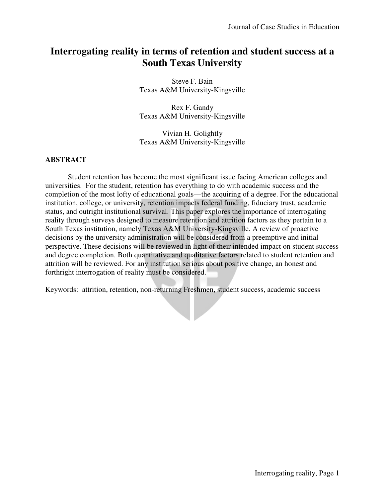# **Interrogating reality in terms of retention and student success at a South Texas University**

Steve F. Bain Texas A&M University-Kingsville

Rex F. Gandy Texas A&M University-Kingsville

Vivian H. Golightly Texas A&M University-Kingsville

# **ABSTRACT**

 Student retention has become the most significant issue facing American colleges and universities. For the student, retention has everything to do with academic success and the completion of the most lofty of educational goals—the acquiring of a degree. For the educational institution, college, or university, retention impacts federal funding, fiduciary trust, academic status, and outright institutional survival. This paper explores the importance of interrogating reality through surveys designed to measure retention and attrition factors as they pertain to a South Texas institution, namely Texas A&M University-Kingsville. A review of proactive decisions by the university administration will be considered from a preemptive and initial perspective. These decisions will be reviewed in light of their intended impact on student success and degree completion. Both quantitative and qualitative factors related to student retention and attrition will be reviewed. For any institution serious about positive change, an honest and forthright interrogation of reality must be considered.

Keywords:attrition, retention, non-returning Freshmen, student success, academic success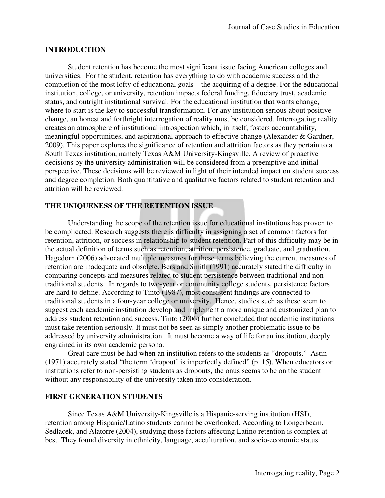#### **INTRODUCTION**

 Student retention has become the most significant issue facing American colleges and universities. For the student, retention has everything to do with academic success and the completion of the most lofty of educational goals—the acquiring of a degree. For the educational institution, college, or university, retention impacts federal funding, fiduciary trust, academic status, and outright institutional survival. For the educational institution that wants change, where to start is the key to successful transformation. For any institution serious about positive change, an honest and forthright interrogation of reality must be considered. Interrogating reality creates an atmosphere of institutional introspection which, in itself, fosters accountability, meaningful opportunities, and aspirational approach to effective change (Alexander & Gardner, 2009). This paper explores the significance of retention and attrition factors as they pertain to a South Texas institution, namely Texas A&M University-Kingsville. A review of proactive decisions by the university administration will be considered from a preemptive and initial perspective. These decisions will be reviewed in light of their intended impact on student success and degree completion. Both quantitative and qualitative factors related to student retention and attrition will be reviewed.

# **THE UNIQUENESS OF THE RETENTION ISSUE**

 Understanding the scope of the retention issue for educational institutions has proven to be complicated. Research suggests there is difficulty in assigning a set of common factors for retention, attrition, or success in relationship to student retention. Part of this difficulty may be in the actual definition of terms such as retention, attrition, persistence, graduate, and graduation. Hagedorn (2006) advocated multiple measures for these terms believing the current measures of retention are inadequate and obsolete. Bers and Smith (1991) accurately stated the difficulty in comparing concepts and measures related to student persistence between traditional and nontraditional students. In regards to two-year or community college students, persistence factors are hard to define. According to Tinto (1987), most consistent findings are connected to traditional students in a four-year college or university. Hence, studies such as these seem to suggest each academic institution develop and implement a more unique and customized plan to address student retention and success. Tinto (2006) further concluded that academic institutions must take retention seriously. It must not be seen as simply another problematic issue to be addressed by university administration. It must become a way of life for an institution, deeply engrained in its own academic persona.

 Great care must be had when an institution refers to the students as "dropouts." Astin (1971) accurately stated "the term 'dropout' is imperfectly defined" (p. 15). When educators or institutions refer to non-persisting students as dropouts, the onus seems to be on the student without any responsibility of the university taken into consideration.

#### **FIRST GENERATION STUDENTS**

 Since Texas A&M University-Kingsville is a Hispanic-serving institution (HSI), retention among Hispanic/Latino students cannot be overlooked. According to Longerbeam, Sedlacek, and Alatorre (2004), studying those factors affecting Latino retention is complex at best. They found diversity in ethnicity, language, acculturation, and socio-economic status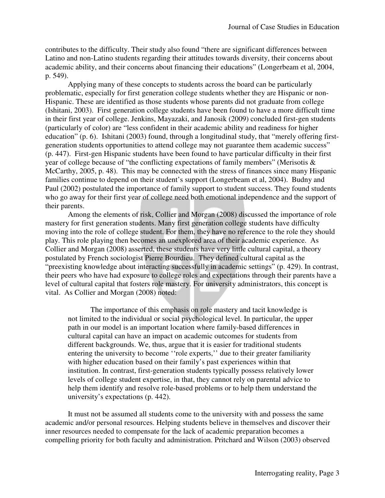contributes to the difficulty. Their study also found "there are significant differences between Latino and non-Latino students regarding their attitudes towards diversity, their concerns about academic ability, and their concerns about financing their educations" (Longerbeam et al, 2004, p. 549).

 Applying many of these concepts to students across the board can be particularly problematic, especially for first generation college students whether they are Hispanic or non-Hispanic. These are identified as those students whose parents did not graduate from college (Ishitani, 2003). First generation college students have been found to have a more difficult time in their first year of college. Jenkins, Mayazaki, and Janosik (2009) concluded first-gen students (particularly of color) are "less confident in their academic ability and readiness for higher education" (p. 6). Ishitani (2003) found, through a longitudinal study, that "merely offering firstgeneration students opportunities to attend college may not guarantee them academic success" (p. 447). First-gen Hispanic students have been found to have particular difficulty in their first year of college because of "the conflicting expectations of family members" (Merisotis & McCarthy, 2005, p. 48). This may be connected with the stress of finances since many Hispanic families continue to depend on their student's support (Longerbeam et al, 2004). Budny and Paul (2002) postulated the importance of family support to student success. They found students who go away for their first year of college need both emotional independence and the support of their parents.

 Among the elements of risk, Collier and Morgan (2008) discussed the importance of role mastery for first generation students. Many first generation college students have difficulty moving into the role of college student. For them, they have no reference to the role they should play. This role playing then becomes an unexplored area of their academic experience. As Collier and Morgan (2008) asserted, these students have very little cultural capital, a theory postulated by French sociologist Pierre Bourdieu. They defined cultural capital as the "preexisting knowledge about interacting successfully in academic settings" (p. 429). In contrast, their peers who have had exposure to college roles and expectations through their parents have a level of cultural capital that fosters role mastery. For university administrators, this concept is vital. As Collier and Morgan (2008) noted:

 The importance of this emphasis on role mastery and tacit knowledge is not limited to the individual or social psychological level. In particular, the upper path in our model is an important location where family-based differences in cultural capital can have an impact on academic outcomes for students from different backgrounds. We, thus, argue that it is easier for traditional students entering the university to become ''role experts,'' due to their greater familiarity with higher education based on their family's past experiences within that institution. In contrast, first-generation students typically possess relatively lower levels of college student expertise, in that, they cannot rely on parental advice to help them identify and resolve role-based problems or to help them understand the university's expectations (p. 442).

 It must not be assumed all students come to the university with and possess the same academic and/or personal resources. Helping students believe in themselves and discover their inner resources needed to compensate for the lack of academic preparation becomes a compelling priority for both faculty and administration. Pritchard and Wilson (2003) observed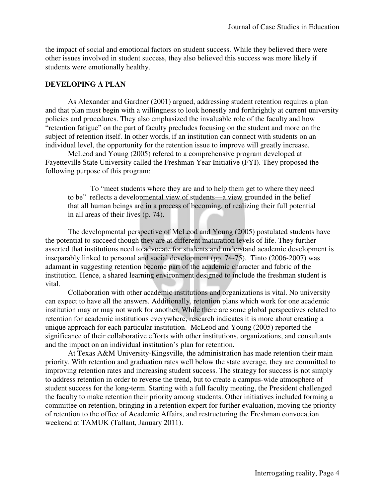the impact of social and emotional factors on student success. While they believed there were other issues involved in student success, they also believed this success was more likely if students were emotionally healthy.

### **DEVELOPING A PLAN**

 As Alexander and Gardner (2001) argued, addressing student retention requires a plan and that plan must begin with a willingness to look honestly and forthrightly at current university policies and procedures. They also emphasized the invaluable role of the faculty and how "retention fatigue" on the part of faculty precludes focusing on the student and more on the subject of retention itself. In other words, if an institution can connect with students on an individual level, the opportunity for the retention issue to improve will greatly increase.

 McLeod and Young (2005) refered to a comprehensive program developed at Fayetteville State University called the Freshman Year Initiative (FYI). They proposed the following purpose of this program:

 To "meet students where they are and to help them get to where they need to be" reflects a developmental view of students—a view grounded in the belief that all human beings are in a process of becoming, of realizing their full potential in all areas of their lives (p. 74).

 The developmental perspective of McLeod and Young (2005) postulated students have the potential to succeed though they are at different maturation levels of life. They further asserted that institutions need to advocate for students and understand academic development is inseparably linked to personal and social development (pp. 74-75). Tinto (2006-2007) was adamant in suggesting retention become part of the academic character and fabric of the institution. Hence, a shared learning environment designed to include the freshman student is vital.

 Collaboration with other academic institutions and organizations is vital. No university can expect to have all the answers. Additionally, retention plans which work for one academic institution may or may not work for another. While there are some global perspectives related to retention for academic institutions everywhere, research indicates it is more about creating a unique approach for each particular institution. McLeod and Young (2005) reported the significance of their collaborative efforts with other institutions, organizations, and consultants and the impact on an individual institution's plan for retention.

 At Texas A&M University-Kingsville, the administration has made retention their main priority. With retention and graduation rates well below the state average, they are committed to improving retention rates and increasing student success. The strategy for success is not simply to address retention in order to reverse the trend, but to create a campus-wide atmosphere of student success for the long-term. Starting with a full faculty meeting, the President challenged the faculty to make retention their priority among students. Other initiatives included forming a committee on retention, bringing in a retention expert for further evaluation, moving the priority of retention to the office of Academic Affairs, and restructuring the Freshman convocation weekend at TAMUK (Tallant, January 2011).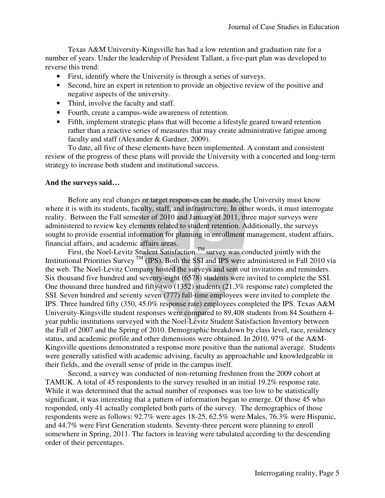Texas A&M University-Kingsville has had a low retention and graduation rate for a number of years. Under the leadership of President Tallant, a five-part plan was developed to reverse this trend:

- First, identify where the University is through a series of surveys.
- Second, hire an expert in retention to provide an objective review of the positive and negative aspects of the university.
- Third, involve the faculty and staff.
- Fourth, create a campus-wide awareness of retention.
- Fifth, implement strategic plans that will become a lifestyle geared toward retention rather than a reactive series of measures that may create administrative fatigue among faculty and staff (Alexander & Gardner, 2009).

 To date, all five of these elements have been implemented. A constant and consistent review of the progress of these plans will provide the University with a concerted and long-term strategy to increase both student and institutional success.

### **And the surveys said…**

 Before any real changes or target responses can be made, the University must know where it is with its students, faculty, staff, and infrastructure. In other words, it must interrogate reality. Between the Fall semester of 2010 and January of 2011, three major surveys were administered to review key elements related to student retention. Additionally, the surveys sought to provide essential information for planning in enrollment management, student affairs, financial affairs, and academic affairs areas.

First, the Noel-Levitz Student Satisfaction  $<sup>TM</sup>$  survey was conducted jointly with the</sup> Institutional Priorities Survey  $<sup>TM</sup>$  (IPS). Both the SSI and IPS were administered in Fall 2010 via</sup> the web. The Noel-Levitz Company hosted the surveys and sent out invitations and reminders. Six thousand five hundred and seventy-eight (6578) students were invited to complete the SSI. One thousand three hundred and fifty-two (1352) students (21.3% response rate) completed the SSI. Seven hundred and seventy seven (777) full-time employees were invited to complete the IPS. Three hundred fifty (350, 45.0% response rate) employees completed the IPS. Texas A&M University-Kingsville student responses were compared to 89,408 students from 84 Southern 4 year public institutions surveyed with the Noel-Levitz Student Satisfaction Inventory between the Fall of 2007 and the Spring of 2010. Demographic breakdown by class level, race, residency status, and academic profile and other dimensions were obtained. In 2010, 97% of the A&M-Kingsville questions demonstrated a response more positive than the national average. Students were generally satisfied with academic advising, faculty as approachable and knowledgeable in their fields, and the overall sense of pride in the campus itself.

 Second, a survey was conducted of non-returning freshmen from the 2009 cohort at TAMUK. A total of 45 respondents to the survey resulted in an initial 19.2% response rate. While it was determined that the actual number of responses was too low to be statistically significant, it was interesting that a pattern of information began to emerge. Of those 45 who responded, only 41 actually completed both parts of the survey. The demographics of those respondents were as follows: 92.7% were ages 18-25, 62.5% were Males, 76.3% were Hispanic, and 44.7% were First Generation students. Seventy-three percent were planning to enroll somewhere in Spring, 2011. The factors in leaving were tabulated according to the descending order of their percentages.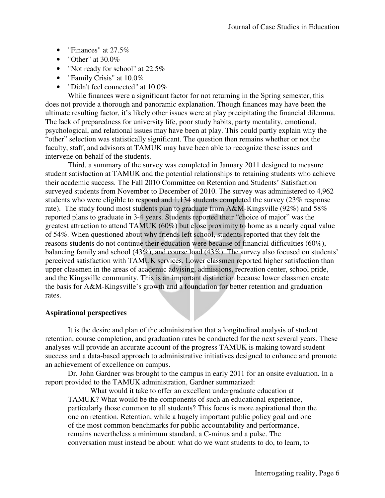- "Finances" at 27.5%
- "Other" at  $30.0\%$
- "Not ready for school" at 22.5%
- "Family Crisis" at 10.0%
- "Didn't feel connected" at  $10.0\%$

 While finances were a significant factor for not returning in the Spring semester, this does not provide a thorough and panoramic explanation. Though finances may have been the ultimate resulting factor, it's likely other issues were at play precipitating the financial dilemma. The lack of preparedness for university life, poor study habits, party mentality, emotional, psychological, and relational issues may have been at play. This could partly explain why the "other" selection was statistically significant. The question then remains whether or not the faculty, staff, and advisors at TAMUK may have been able to recognize these issues and intervene on behalf of the students.

 Third, a summary of the survey was completed in January 2011 designed to measure student satisfaction at TAMUK and the potential relationships to retaining students who achieve their academic success. The Fall 2010 Committee on Retention and Students' Satisfaction surveyed students from November to December of 2010. The survey was administered to 4,962 students who were eligible to respond and 1,134 students completed the survey (23% response rate). The study found most students plan to graduate from A&M-Kingsville (92%) and 58% reported plans to graduate in 3-4 years. Students reported their "choice of major" was the greatest attraction to attend TAMUK (60%) but close proximity to home as a nearly equal value of 54%. When questioned about why friends left school, students reported that they felt the reasons students do not continue their education were because of financial difficulties (60%), balancing family and school (43%), and course load (43%). The survey also focused on students' perceived satisfaction with TAMUK services. Lower classmen reported higher satisfaction than upper classmen in the areas of academic advising, admissions, recreation center, school pride, and the Kingsville community. This is an important distinction because lower classmen create the basis for A&M-Kingsville's growth and a foundation for better retention and graduation rates.

### **Aspirational perspectives**

 It is the desire and plan of the administration that a longitudinal analysis of student retention, course completion, and graduation rates be conducted for the next several years. These analyses will provide an accurate account of the progress TAMUK is making toward student success and a data-based approach to administrative initiatives designed to enhance and promote an achievement of excellence on campus.

 Dr. John Gardner was brought to the campus in early 2011 for an onsite evaluation. In a report provided to the TAMUK administration, Gardner summarized:

 What would it take to offer an excellent undergraduate education at TAMUK? What would be the components of such an educational experience, particularly those common to all students? This focus is more aspirational than the one on retention. Retention, while a hugely important public policy goal and one of the most common benchmarks for public accountability and performance, remains nevertheless a minimum standard, a C-minus and a pulse. The conversation must instead be about: what do we want students to do, to learn, to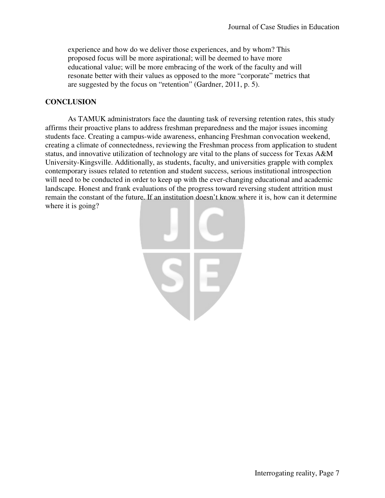experience and how do we deliver those experiences, and by whom? This proposed focus will be more aspirational; will be deemed to have more educational value; will be more embracing of the work of the faculty and will resonate better with their values as opposed to the more "corporate" metrics that are suggested by the focus on "retention" (Gardner, 2011, p. 5).

# **CONCLUSION**

 As TAMUK administrators face the daunting task of reversing retention rates, this study affirms their proactive plans to address freshman preparedness and the major issues incoming students face. Creating a campus-wide awareness, enhancing Freshman convocation weekend, creating a climate of connectedness, reviewing the Freshman process from application to student status, and innovative utilization of technology are vital to the plans of success for Texas A&M University-Kingsville. Additionally, as students, faculty, and universities grapple with complex contemporary issues related to retention and student success, serious institutional introspection will need to be conducted in order to keep up with the ever-changing educational and academic landscape. Honest and frank evaluations of the progress toward reversing student attrition must remain the constant of the future. If an institution doesn't know where it is, how can it determine where it is going?